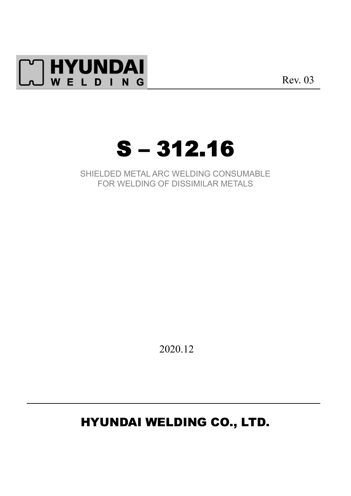

Rev. 03



SHIELDED METAL ARC WELDING CONSUMABLE FOR WELDING OF DISSIMILAR METALS

2020.12

# HYUNDAI WELDING CO., LTD.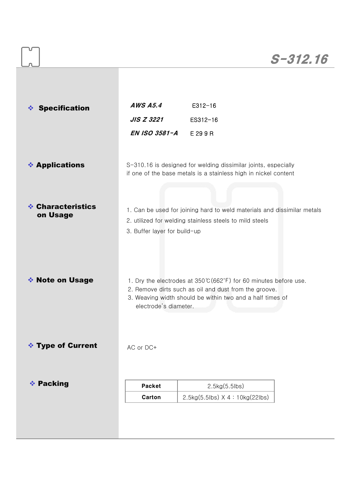|                               |                       |                                                                                                                                                                                         | $S - 312.16$ |  |  |  |
|-------------------------------|-----------------------|-----------------------------------------------------------------------------------------------------------------------------------------------------------------------------------------|--------------|--|--|--|
|                               |                       |                                                                                                                                                                                         |              |  |  |  |
| <b>Specification</b><br>察     | <b>AWS A5.4</b>       | $E312 - 16$                                                                                                                                                                             |              |  |  |  |
|                               | <b>JIS Z 3221</b>     | ES312-16                                                                                                                                                                                |              |  |  |  |
|                               | EN ISO 3581-A         | E 29 9 R                                                                                                                                                                                |              |  |  |  |
| <b>❖ Applications</b>         |                       | S-310.16 is designed for welding dissimilar joints, especially<br>if one of the base metals is a stainless high in nickel content                                                       |              |  |  |  |
| ❖ Characteristics<br>on Usage |                       | 1. Can be used for joining hard to weld materials and dissimilar metals<br>2. utilized for welding stainless steels to mild steels<br>3. Buffer layer for build-up                      |              |  |  |  |
| ❖ Note on Usage               | electrode's diameter. | 1. Dry the electrodes at 350°C (662°F) for 60 minutes before use.<br>2. Remove dirts such as oil and dust from the groove.<br>3. Weaving width should be within two and a half times of |              |  |  |  |
| <b>V</b> Type of Current      | AC or DC+             |                                                                                                                                                                                         |              |  |  |  |
| ❖ Packing                     | <b>Packet</b>         | 2.5kg(5.5lbs)                                                                                                                                                                           |              |  |  |  |
|                               |                       |                                                                                                                                                                                         |              |  |  |  |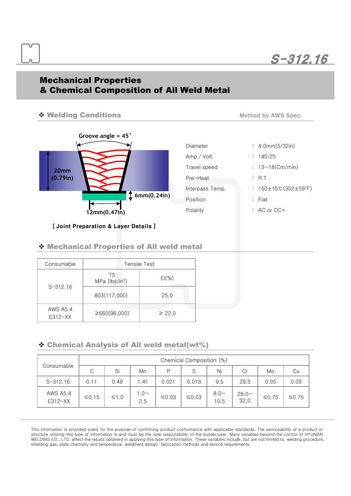# S-312.16

### Mechanical Properties & Chemical Composition of All Weld Metal

#### v Welding Conditions



| Diameter        |  |  |  |  |  |
|-----------------|--|--|--|--|--|
| Amp./ Volt.     |  |  |  |  |  |
| Travel speed    |  |  |  |  |  |
| Pre-Heat        |  |  |  |  |  |
| Interpass Temp. |  |  |  |  |  |
| Position        |  |  |  |  |  |
| Polarity        |  |  |  |  |  |

Method by AWS Spec.

 $: 4.0$ mm(5/32in)

 $: 13~18$ (Cm/min)

 $150+15°C(302+59°F)$ 

 $: 140/25$ 

 $PR. T$  .

: Flat

: AC or DC+

## [ Joint Preparation & Layer Details ]

v Mechanical Properties of All weld metal

| Consumable            | Tensile Test                |             |  |  |  |
|-----------------------|-----------------------------|-------------|--|--|--|
| $S - 312.16$          | TS.<br>$MPa$ ( $lbs/in^2$ ) | $EI(\%)$    |  |  |  |
|                       | 803(117,000)                | 25.0        |  |  |  |
| AWS A5.4<br>$E312-XX$ | $\geq 660(96,000)$          | $\geq 22.0$ |  |  |  |

 $\div$  Chemical Analysis of All weld metal(wt%)

| Consumable                 | Chemical Composition (%) |            |               |       |             |                 |                  |         |             |
|----------------------------|--------------------------|------------|---------------|-------|-------------|-----------------|------------------|---------|-------------|
|                            | C                        | Si         | Mn            | P     | S           | Ni              | Cr               | Mo      | Cu          |
| $S - 312.16$               | 0.11                     | 0.49       | .41           | 0.021 | 0.013       | 9.5             | 29.5             | 0.05    | 0.03        |
| <b>AWS A5.4</b><br>E312-XX | $≤0.15$                  | $\leq 1.0$ | $1.0-$<br>2.5 | ≤0.03 | $\leq 0.03$ | $8.0 -$<br>10.5 | $28.0 -$<br>32.0 | $≤0.75$ | $\leq$ 0.75 |

This information is provided solely for the purpose of confirming product conformance with applicable standards. The serviceability of a product or structure utilizing this type of information is and must be the sole responsibility of the builder/user. Many variables beyond the control of HYUNDAI WELDING CO., LTD. affect the results obtained in applying this type of information. These variables include, but are notlimited to, welding procedure, shielding gas, plate chemistry and temperature, weldment design, fabrication methods and service requirements.